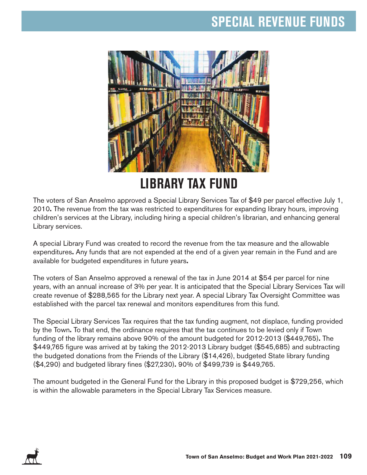### **SPECIAL REVENUE FUNDS**



## **LIBRARY TAX FUND**

The voters of San Anselmo approved a Special Library Services Tax of \$49 per parcel effective July 1, 2010**.** The revenue from the tax was restricted to expenditures for expanding library hours, improving children's services at the Library, including hiring a special children's librarian, and enhancing general Library services.

A special Library Fund was created to record the revenue from the tax measure and the allowable expenditures**.** Any funds that are not expended at the end of a given year remain in the Fund and are available for budgeted expenditures in future years**.** 

The voters of San Anselmo approved a renewal of the tax in June 2014 at \$54 per parcel for nine years, with an annual increase of 3% per year. It is anticipated that the Special Library Services Tax will create revenue of \$288,565 for the Library next year. A special Library Tax Oversight Committee was established with the parcel tax renewal and monitors expenditures from this fund.

The Special Library Services Tax requires that the tax funding augment, not displace, funding provided by the Town**.** To that end, the ordinance requires that the tax continues to be levied only if Town funding of the library remains above 90% of the amount budgeted for 2012-2013 (\$449,765)**.** The \$449,765 figure was arrived at by taking the 2012-2013 Library budget (\$545,685) and subtracting the budgeted donations from the Friends of the Library (\$14,426), budgeted State library funding (\$4,290) and budgeted library fines (\$27,230)**.** 90% of \$499,739 is \$449,765.

The amount budgeted in the General Fund for the Library in this proposed budget is \$729,256, which is within the allowable parameters in the Special Library Tax Services measure.

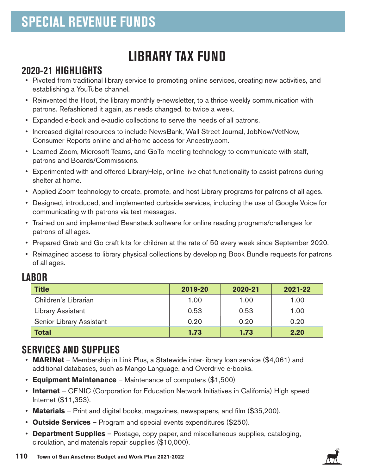# **LIBRARY TAX FUND**

#### **2020-21 HIGHLIGHTS**

- Pivoted from traditional library service to promoting online services, creating new activities, and establishing a YouTube channel.
- Reinvented the Hoot, the library monthly e-newsletter, to a thrice weekly communication with patrons. Refashioned it again, as needs changed, to twice a week.
- Expanded e-book and e-audio collections to serve the needs of all patrons.
- Increased digital resources to include NewsBank, Wall Street Journal, JobNow/VetNow, Consumer Reports online and at-home access for Ancestry.com.
- Learned Zoom, Microsoft Teams, and GoTo meeting technology to communicate with staff, patrons and Boards/Commissions.
- Experimented with and offered LibraryHelp, online live chat functionality to assist patrons during shelter at home.
- Applied Zoom technology to create, promote, and host Library programs for patrons of all ages.
- Designed, introduced, and implemented curbside services, including the use of Google Voice for communicating with patrons via text messages.
- Trained on and implemented Beanstack software for online reading programs/challenges for patrons of all ages.
- Prepared Grab and Go craft kits for children at the rate of 50 every week since September 2020.
- Reimagined access to library physical collections by developing Book Bundle requests for patrons of all ages.

#### **LABOR**

| <b>Title</b>             | 2019-20 | 2020-21 | 2021-22 |
|--------------------------|---------|---------|---------|
| Children's Librarian     | 1.00    | 1.00    | 1.00    |
| <b>Library Assistant</b> | 0.53    | 0.53    | 1.00    |
| Senior Library Assistant | 0.20    | 0.20    | 0.20    |
| <b>Total</b>             | 1.73    | 1.73    | 2.20    |

### **SERVICES AND SUPPLIES**

- **MARINet** Membership in Link Plus, a Statewide inter-library loan service (\$4,061) and additional databases, such as Mango Language, and Overdrive e-books.
- **Equipment Maintenance** Maintenance of computers (\$1,500)
- **Internet** CENIC (Corporation for Education Network Initiatives in California) High speed Internet (\$11,353).
- **Materials** Print and digital books, magazines, newspapers, and film (\$35,200).
- **Outside Services** Program and special events expenditures (\$250).
- **Department Supplies** Postage, copy paper, and miscellaneous supplies, cataloging, circulation, and materials repair supplies (\$10,000).

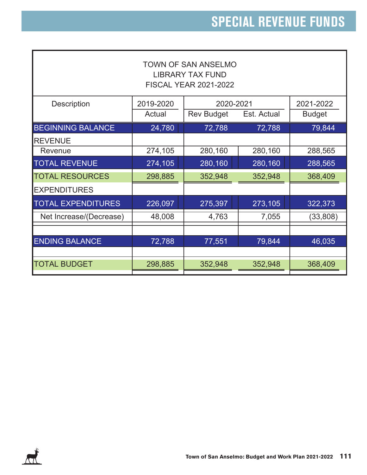| <b>TOWN OF SAN ANSELMO</b><br><b>LIBRARY TAX FUND</b><br><b>FISCAL YEAR 2021-2022</b> |           |                   |             |               |  |  |  |
|---------------------------------------------------------------------------------------|-----------|-------------------|-------------|---------------|--|--|--|
| <b>Description</b>                                                                    | 2019-2020 | 2020-2021         |             | 2021-2022     |  |  |  |
|                                                                                       | Actual    | <b>Rev Budget</b> | Est. Actual | <b>Budget</b> |  |  |  |
| <b>BEGINNING BALANCE</b>                                                              | 24,780    | 72,788            | 72,788      | 79,844        |  |  |  |
| <b>REVENUE</b>                                                                        |           |                   |             |               |  |  |  |
| Revenue                                                                               | 274,105   | 280,160           | 280,160     | 288,565       |  |  |  |
| <b>TOTAL REVENUE</b>                                                                  | 274,105   | 280,160           | 280,160     | 288,565       |  |  |  |
| <b>TOTAL RESOURCES</b>                                                                | 298,885   | 352,948           | 352,948     | 368,409       |  |  |  |
| <b>EXPENDITURES</b>                                                                   |           |                   |             |               |  |  |  |
| <b>TOTAL EXPENDITURES</b>                                                             | 226,097   | 275,397           | 273,105     | 322,373       |  |  |  |
| Net Increase/(Decrease)                                                               | 48,008    | 4,763             | 7,055       | (33, 808)     |  |  |  |
|                                                                                       |           |                   |             |               |  |  |  |
| <b>ENDING BALANCE</b>                                                                 | 72,788    | 77,551            | 79,844      | 46,035        |  |  |  |
|                                                                                       |           |                   |             |               |  |  |  |
| <b>TOTAL BUDGET</b>                                                                   | 298,885   | 352,948           | 352,948     | 368,409       |  |  |  |